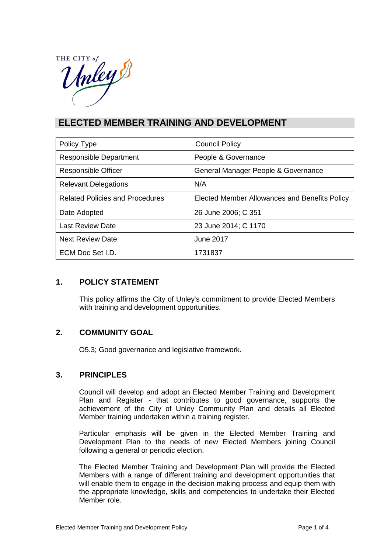THE CITY of THE CITY

# **ELECTED MEMBER TRAINING AND DEVELOPMENT**

| Policy Type                            | <b>Council Policy</b>                         |  |
|----------------------------------------|-----------------------------------------------|--|
| <b>Responsible Department</b>          | People & Governance                           |  |
| <b>Responsible Officer</b>             | General Manager People & Governance           |  |
| <b>Relevant Delegations</b>            | N/A                                           |  |
| <b>Related Policies and Procedures</b> | Elected Member Allowances and Benefits Policy |  |
| Date Adopted                           | 26 June 2006; C 351                           |  |
| <b>Last Review Date</b>                | 23 June 2014; C 1170                          |  |
| <b>Next Review Date</b>                | <b>June 2017</b>                              |  |
| ECM Doc Set I.D.                       | 1731837                                       |  |

# **1. POLICY STATEMENT**

This policy affirms the City of Unley's commitment to provide Elected Members with training and development opportunities.

# **2. COMMUNITY GOAL**

O5.3; Good governance and legislative framework.

# **3. PRINCIPLES**

Council will develop and adopt an Elected Member Training and Development Plan and Register - that contributes to good governance, supports the achievement of the City of Unley Community Plan and details all Elected Member training undertaken within a training register.

Particular emphasis will be given in the Elected Member Training and Development Plan to the needs of new Elected Members joining Council following a general or periodic election.

The Elected Member Training and Development Plan will provide the Elected Members with a range of different training and development opportunities that will enable them to engage in the decision making process and equip them with the appropriate knowledge, skills and competencies to undertake their Elected Member role.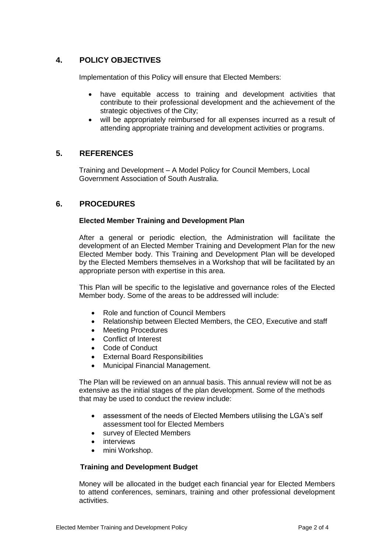# **4. POLICY OBJECTIVES**

Implementation of this Policy will ensure that Elected Members:

- have equitable access to training and development activities that contribute to their professional development and the achievement of the strategic objectives of the City;
- will be appropriately reimbursed for all expenses incurred as a result of attending appropriate training and development activities or programs.

## **5. REFERENCES**

Training and Development – A Model Policy for Council Members, Local Government Association of South Australia.

## **6. PROCEDURES**

#### **Elected Member Training and Development Plan**

After a general or periodic election, the Administration will facilitate the development of an Elected Member Training and Development Plan for the new Elected Member body. This Training and Development Plan will be developed by the Elected Members themselves in a Workshop that will be facilitated by an appropriate person with expertise in this area.

This Plan will be specific to the legislative and governance roles of the Elected Member body. Some of the areas to be addressed will include:

- Role and function of Council Members
- Relationship between Elected Members, the CEO, Executive and staff
- Meeting Procedures
- Conflict of Interest
- Code of Conduct
- External Board Responsibilities
- Municipal Financial Management.

The Plan will be reviewed on an annual basis. This annual review will not be as extensive as the initial stages of the plan development. Some of the methods that may be used to conduct the review include:

- assessment of the needs of Elected Members utilising the LGA's self assessment tool for Elected Members
- survey of Elected Members
- interviews
- mini Workshop.

#### **Training and Development Budget**

Money will be allocated in the budget each financial year for Elected Members to attend conferences, seminars, training and other professional development activities.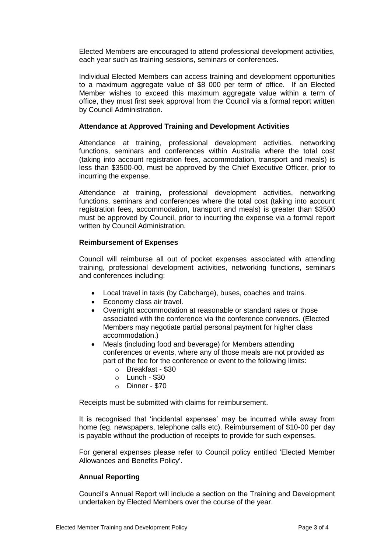Elected Members are encouraged to attend professional development activities, each year such as training sessions, seminars or conferences.

Individual Elected Members can access training and development opportunities to a maximum aggregate value of \$8 000 per term of office. If an Elected Member wishes to exceed this maximum aggregate value within a term of office, they must first seek approval from the Council via a formal report written by Council Administration.

#### **Attendance at Approved Training and Development Activities**

Attendance at training, professional development activities, networking functions, seminars and conferences within Australia where the total cost (taking into account registration fees, accommodation, transport and meals) is less than \$3500-00, must be approved by the Chief Executive Officer, prior to incurring the expense.

Attendance at training, professional development activities, networking functions, seminars and conferences where the total cost (taking into account registration fees, accommodation, transport and meals) is greater than \$3500 must be approved by Council, prior to incurring the expense via a formal report written by Council Administration.

#### **Reimbursement of Expenses**

Council will reimburse all out of pocket expenses associated with attending training, professional development activities, networking functions, seminars and conferences including:

- Local travel in taxis (by Cabcharge), buses, coaches and trains.
- Economy class air travel.
- Overnight accommodation at reasonable or standard rates or those associated with the conference via the conference convenors. (Elected Members may negotiate partial personal payment for higher class accommodation.)
- Meals (including food and beverage) for Members attending conferences or events, where any of those meals are not provided as part of the fee for the conference or event to the following limits:
	- o Breakfast \$30
	- o Lunch \$30
	- o Dinner \$70

Receipts must be submitted with claims for reimbursement.

It is recognised that 'incidental expenses' may be incurred while away from home (eg. newspapers, telephone calls etc). Reimbursement of \$10-00 per day is payable without the production of receipts to provide for such expenses.

For general expenses please refer to Council policy entitled 'Elected Member Allowances and Benefits Policy'.

### **Annual Reporting**

Council's Annual Report will include a section on the Training and Development undertaken by Elected Members over the course of the year.